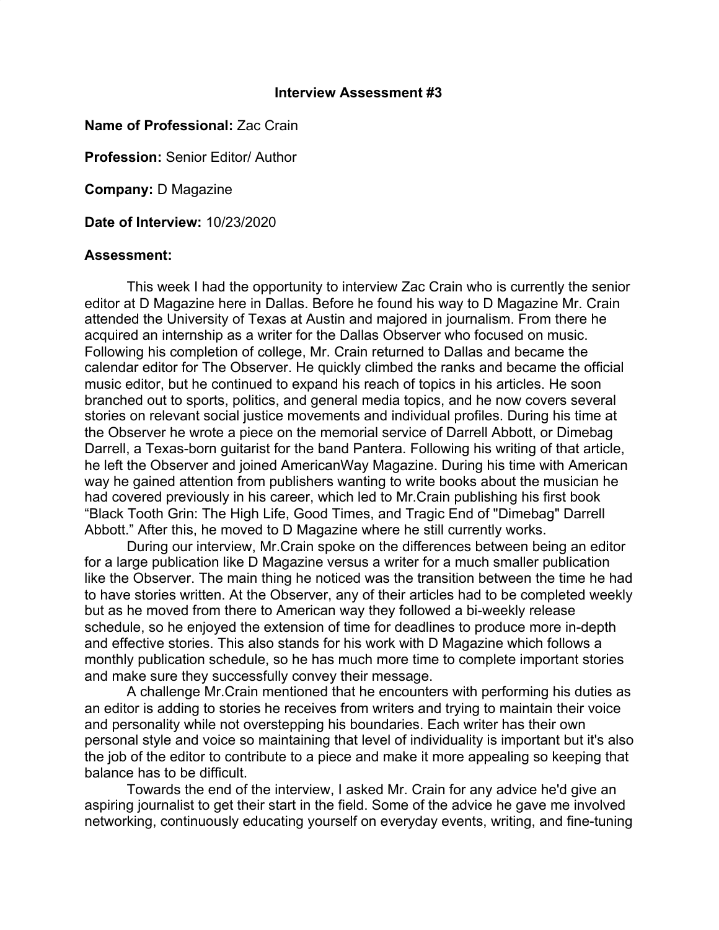## **Interview Assessment #3**

## **Name of Professional:** Zac Crain

**Profession:** Senior Editor/ Author

**Company:** D Magazine

**Date of Interview:** 10/23/2020

## **Assessment:**

This week I had the opportunity to interview Zac Crain who is currently the senior editor at D Magazine here in Dallas. Before he found his way to D Magazine Mr. Crain attended the University of Texas at Austin and majored in journalism. From there he acquired an internship as a writer for the Dallas Observer who focused on music. Following his completion of college, Mr. Crain returned to Dallas and became the calendar editor for The Observer. He quickly climbed the ranks and became the official music editor, but he continued to expand his reach of topics in his articles. He soon branched out to sports, politics, and general media topics, and he now covers several stories on relevant social justice movements and individual profiles. During his time at the Observer he wrote a piece on the memorial service of Darrell Abbott, or Dimebag Darrell, a Texas-born guitarist for the band Pantera. Following his writing of that article, he left the Observer and joined AmericanWay Magazine. During his time with American way he gained attention from publishers wanting to write books about the musician he had covered previously in his career, which led to Mr.Crain publishing his first book "Black Tooth Grin: The High Life, Good Times, and Tragic End of "Dimebag" Darrell Abbott." After this, he moved to D Magazine where he still currently works.

During our interview, Mr.Crain spoke on the differences between being an editor for a large publication like D Magazine versus a writer for a much smaller publication like the Observer. The main thing he noticed was the transition between the time he had to have stories written. At the Observer, any of their articles had to be completed weekly but as he moved from there to American way they followed a bi-weekly release schedule, so he enjoyed the extension of time for deadlines to produce more in-depth and effective stories. This also stands for his work with D Magazine which follows a monthly publication schedule, so he has much more time to complete important stories and make sure they successfully convey their message.

A challenge Mr.Crain mentioned that he encounters with performing his duties as an editor is adding to stories he receives from writers and trying to maintain their voice and personality while not overstepping his boundaries. Each writer has their own personal style and voice so maintaining that level of individuality is important but it's also the job of the editor to contribute to a piece and make it more appealing so keeping that balance has to be difficult.

Towards the end of the interview, I asked Mr. Crain for any advice he'd give an aspiring journalist to get their start in the field. Some of the advice he gave me involved networking, continuously educating yourself on everyday events, writing, and fine-tuning